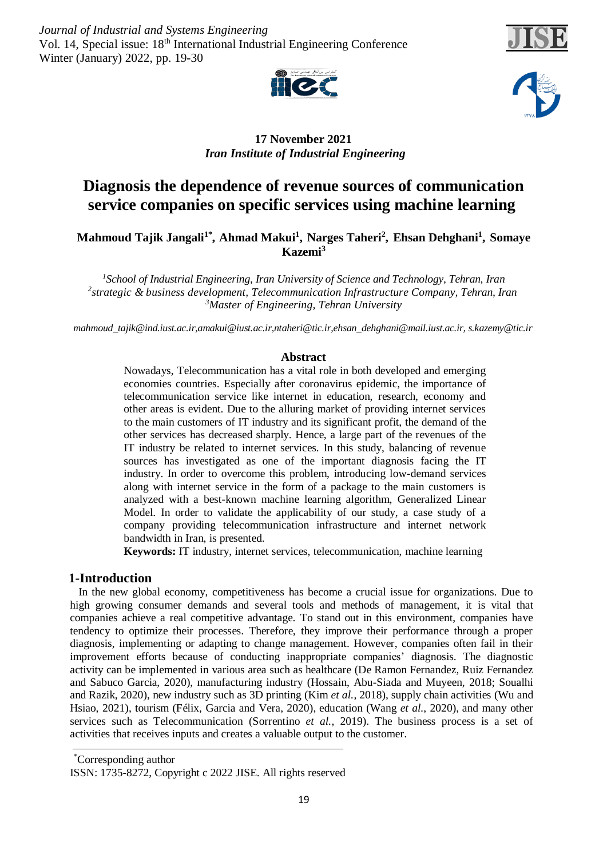*Journal of Industrial and Systems Engineering* Vol. 14, Special issue: 18<sup>th</sup> International Industrial Engineering Conference Winter (January) 2022, pp. 19-30







# **17 November 2021** *Iran Institute of Industrial Engineering*

# **Diagnosis the dependence of revenue sources of communication service companies on specific services using machine learning**

 $\bf{M}$ ahmoud Tajik Jangali $^1^*$ , Ahmad Makui $^1$ , Narges Taheri $^2$ , Ehsan Dehghani $^1$ , Somaye **Kazemi<sup>3</sup>**

*School of Industrial Engineering, Iran University of Science and Technology, Tehran, Iran <sup>1</sup> strategic & business development, Telecommunication Infrastructure Company, Tehran, Iran <sup>2</sup> Master of Engineering, Tehran University <sup>3</sup>*

*[mahmoud\\_tajik@ind.iust.ac.ir,](mailto:mahmoud_tajik@ind.iust.ac.ir)[amakui@iust.ac.ir](mailto:amakui@iust.ac.ir)[,ntaheri@tic.ir,](mailto:ntaheri@tic.ir)[ehsan\\_dehghani@mail.iust.ac.ir,](mailto:ehsan_dehghani@mail.iust.ac.ir) [s.kazemy@tic.ir](mailto:s.kazemy@tic.ir)*

## **Abstract**

Nowadays, Telecommunication has a vital role in both developed and emerging economies countries. Especially after coronavirus epidemic, the importance of telecommunication service like internet in education, research, economy and other areas is evident. Due to the alluring market of providing internet services to the main customers of IT industry and its significant profit, the demand of the other services has decreased sharply. Hence, a large part of the revenues of the IT industry be related to internet services. In this study, balancing of revenue sources has investigated as one of the important diagnosis facing the IT industry. In order to overcome this problem, introducing low-demand services along with internet service in the form of a package to the main customers is analyzed with a best-known machine learning algorithm, Generalized Linear Model. In order to validate the applicability of our study, a case study of a company providing telecommunication infrastructure and internet network bandwidth in Iran, is presented.

**Keywords:** IT industry, internet services, telecommunication, machine learning

## **1-Introduction**

In the new global economy, competitiveness has become a crucial issue for organizations. Due to high growing consumer demands and several tools and methods of management, it is vital that companies achieve a real competitive advantage. To stand out in this environment, companies have tendency to optimize their processes. Therefore, they improve their performance through a proper diagnosis, implementing or adapting to change management. However, companies often fail in their improvement efforts because of conducting inappropriate companies' diagnosis. The diagnostic activity can be implemented in various area such as healthcare (De Ramon Fernandez, Ruiz Fernandez and Sabuco Garcia, 2020), manufacturing industry (Hossain, Abu-Siada and Muyeen, 2018; Soualhi and Razik, 2020), new industry such as 3D printing (Kim *et al.*, 2018), supply chain activities (Wu and Hsiao, 2021), tourism (Félix, Garcia and Vera, 2020), education (Wang *et al.*, 2020), and many other services such as Telecommunication (Sorrentino *et al.*, 2019). The business process is a set of activities that receives inputs and creates a valuable output to the customer.

Corresponding author \*

ISSN: 1735-8272, Copyright c 2022 JISE. All rights reserved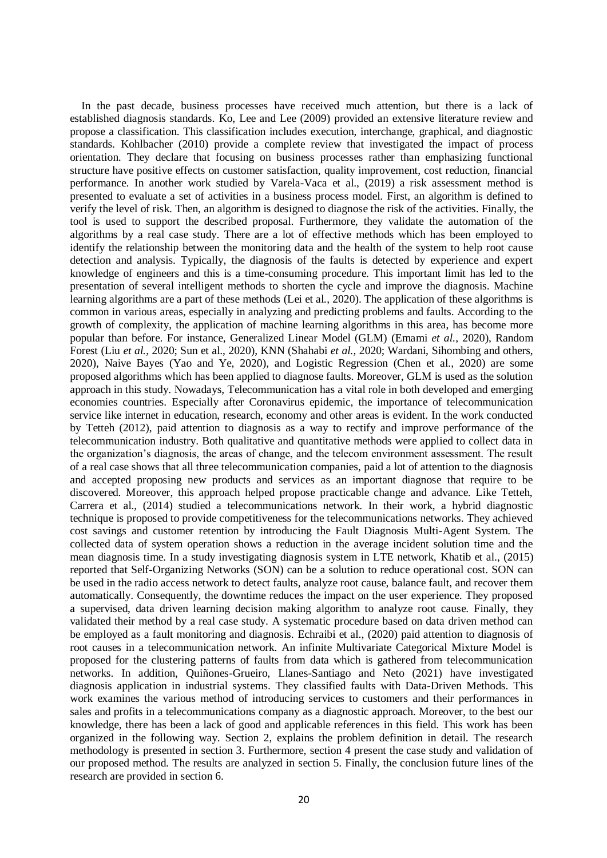In the past decade, business processes have received much attention, but there is a lack of established diagnosis standards. Ko, Lee and Lee (2009) provided an extensive literature review and propose a classification. This classification includes execution, interchange, graphical, and diagnostic standards. Kohlbacher (2010) provide a complete review that investigated the impact of process orientation. They declare that focusing on business processes rather than emphasizing functional structure have positive effects on customer satisfaction, quality improvement, cost reduction, financial performance. In another work studied by Varela-Vaca et al., (2019) a risk assessment method is presented to evaluate a set of activities in a business process model. First, an algorithm is defined to verify the level of risk. Then, an algorithm is designed to diagnose the risk of the activities. Finally, the tool is used to support the described proposal. Furthermore, they validate the automation of the algorithms by a real case study. There are a lot of effective methods which has been employed to identify the relationship between the monitoring data and the health of the system to help root cause detection and analysis. Typically, the diagnosis of the faults is detected by experience and expert knowledge of engineers and this is a time-consuming procedure. This important limit has led to the presentation of several intelligent methods to shorten the cycle and improve the diagnosis. Machine learning algorithms are a part of these methods (Lei et al*.*, 2020). The application of these algorithms is common in various areas, especially in analyzing and predicting problems and faults. According to the growth of complexity, the application of machine learning algorithms in this area, has become more popular than before. For instance, Generalized Linear Model (GLM) (Emami *et al.*, 2020), Random Forest (Liu *et al.*, 2020; Sun et al., 2020), KNN (Shahabi *et al.*, 2020; Wardani, Sihombing and others, 2020), Naive Bayes (Yao and Ye, 2020), and Logistic Regression (Chen et al., 2020) are some proposed algorithms which has been applied to diagnose faults. Moreover, GLM is used as the solution approach in this study. Nowadays, Telecommunication has a vital role in both developed and emerging economies countries. Especially after Coronavirus epidemic, the importance of telecommunication service like internet in education, research, economy and other areas is evident. In the work conducted by Tetteh (2012), paid attention to diagnosis as a way to rectify and improve performance of the telecommunication industry. Both qualitative and quantitative methods were applied to collect data in the organization's diagnosis, the areas of change, and the telecom environment assessment. The result of a real case shows that all three telecommunication companies, paid a lot of attention to the diagnosis and accepted proposing new products and services as an important diagnose that require to be discovered. Moreover, this approach helped propose practicable change and advance. Like Tetteh, Carrera et al., (2014) studied a telecommunications network. In their work, a hybrid diagnostic technique is proposed to provide competitiveness for the telecommunications networks. They achieved cost savings and customer retention by introducing the Fault Diagnosis Multi-Agent System. The collected data of system operation shows a reduction in the average incident solution time and the mean diagnosis time. In a study investigating diagnosis system in LTE network, Khatib et al., (2015) reported that Self-Organizing Networks (SON) can be a solution to reduce operational cost. SON can be used in the radio access network to detect faults, analyze root cause, balance fault, and recover them automatically. Consequently, the downtime reduces the impact on the user experience. They proposed a supervised, data driven learning decision making algorithm to analyze root cause. Finally, they validated their method by a real case study. A systematic procedure based on data driven method can be employed as a fault monitoring and diagnosis. Echraibi et al., (2020) paid attention to diagnosis of root causes in a telecommunication network. An infinite Multivariate Categorical Mixture Model is proposed for the clustering patterns of faults from data which is gathered from telecommunication networks. In addition, Quiñones-Grueiro, Llanes-Santiago and Neto (2021) have investigated diagnosis application in industrial systems. They classified faults with Data-Driven Methods. This work examines the various method of introducing services to customers and their performances in sales and profits in a telecommunications company as a diagnostic approach. Moreover, to the best our knowledge, there has been a lack of good and applicable references in this field. This work has been organized in the following way. Section 2, explains the problem definition in detail. The research methodology is presented in section 3. Furthermore, section 4 present the case study and validation of our proposed method. The results are analyzed in section 5. Finally, the conclusion future lines of the research are provided in section 6.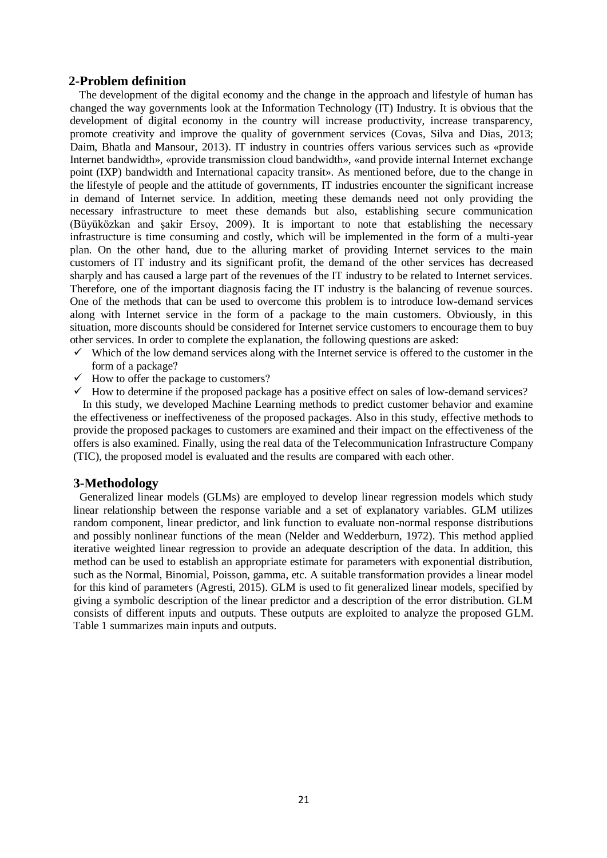## **2-Problem definition**

The development of the digital economy and the change in the approach and lifestyle of human has changed the way governments look at the Information Technology (IT) Industry. It is obvious that the development of digital economy in the country will increase productivity, increase transparency, promote creativity and improve the quality of government services (Covas, Silva and Dias, 2013; Daim, Bhatla and Mansour, 2013). IT industry in countries offers various services such as «provide Internet bandwidth», «provide transmission cloud bandwidth», «and provide internal Internet exchange point (IXP) bandwidth and International capacity transit». As mentioned before, due to the change in the lifestyle of people and the attitude of governments, IT industries encounter the significant increase in demand of Internet service. In addition, meeting these demands need not only providing the necessary infrastructure to meet these demands but also, establishing secure communication (Büyüközkan and şakir Ersoy, 2009). It is important to note that establishing the necessary infrastructure is time consuming and costly, which will be implemented in the form of a multi-year plan. On the other hand, due to the alluring market of providing Internet services to the main customers of IT industry and its significant profit, the demand of the other services has decreased sharply and has caused a large part of the revenues of the IT industry to be related to Internet services. Therefore, one of the important diagnosis facing the IT industry is the balancing of revenue sources. One of the methods that can be used to overcome this problem is to introduce low-demand services along with Internet service in the form of a package to the main customers. Obviously, in this situation, more discounts should be considered for Internet service customers to encourage them to buy other services. In order to complete the explanation, the following questions are asked:

- $\checkmark$  Which of the low demand services along with the Internet service is offered to the customer in the form of a package?
- $\checkmark$  How to offer the package to customers?
- $\checkmark$  How to determine if the proposed package has a positive effect on sales of low-demand services?

 In this study, we developed Machine Learning methods to predict customer behavior and examine the effectiveness or ineffectiveness of the proposed packages. Also in this study, effective methods to provide the proposed packages to customers are examined and their impact on the effectiveness of the offers is also examined. Finally, using the real data of the Telecommunication Infrastructure Company (TIC), the proposed model is evaluated and the results are compared with each other.

## **3-Methodology**

Generalized linear models (GLMs) are employed to develop linear regression models which study linear relationship between the response variable and a set of explanatory variables. GLM utilizes random component, linear predictor, and link function to evaluate non-normal response distributions and possibly nonlinear functions of the mean (Nelder and Wedderburn, 1972). This method applied iterative weighted linear regression to provide an adequate description of the data. In addition, this method can be used to establish an appropriate estimate for parameters with exponential distribution, such as the Normal, Binomial, Poisson, gamma, etc. A suitable transformation provides a linear model for this kind of parameters (Agresti, 2015). GLM is used to fit generalized linear models, specified by giving a symbolic description of the linear predictor and a description of the error distribution. GLM consists of different inputs and outputs. These outputs are exploited to analyze the proposed GLM. Table 1 summarizes main inputs and outputs.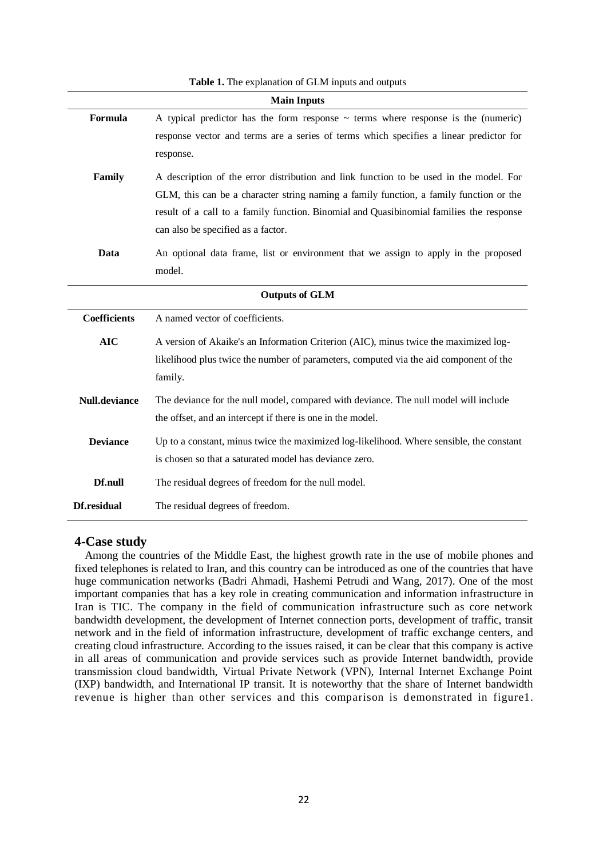|                      | <b>Main Inputs</b>                                                                       |  |  |  |  |
|----------------------|------------------------------------------------------------------------------------------|--|--|--|--|
| Formula              | A typical predictor has the form response $\sim$ terms where response is the (numeric)   |  |  |  |  |
|                      | response vector and terms are a series of terms which specifies a linear predictor for   |  |  |  |  |
|                      | response.                                                                                |  |  |  |  |
| Family               | A description of the error distribution and link function to be used in the model. For   |  |  |  |  |
|                      | GLM, this can be a character string naming a family function, a family function or the   |  |  |  |  |
|                      | result of a call to a family function. Binomial and Quasibinomial families the response  |  |  |  |  |
|                      | can also be specified as a factor.                                                       |  |  |  |  |
| Data                 | An optional data frame, list or environment that we assign to apply in the proposed      |  |  |  |  |
|                      | model.                                                                                   |  |  |  |  |
|                      | <b>Outputs of GLM</b>                                                                    |  |  |  |  |
|                      |                                                                                          |  |  |  |  |
| <b>Coefficients</b>  | A named vector of coefficients.                                                          |  |  |  |  |
| <b>AIC</b>           | A version of Akaike's an Information Criterion (AIC), minus twice the maximized log-     |  |  |  |  |
|                      | likelihood plus twice the number of parameters, computed via the aid component of the    |  |  |  |  |
|                      | family.                                                                                  |  |  |  |  |
| <b>Null.deviance</b> | The deviance for the null model, compared with deviance. The null model will include     |  |  |  |  |
|                      | the offset, and an intercept if there is one in the model.                               |  |  |  |  |
| <b>Deviance</b>      | Up to a constant, minus twice the maximized log-likelihood. Where sensible, the constant |  |  |  |  |
|                      | is chosen so that a saturated model has deviance zero.                                   |  |  |  |  |
| Df.null              | The residual degrees of freedom for the null model.                                      |  |  |  |  |
|                      |                                                                                          |  |  |  |  |
| Df.residual          | The residual degrees of freedom.                                                         |  |  |  |  |

#### **Table 1.** The explanation of GLM inputs and outputs

### **4-Case study**

Among the countries of the Middle East, the highest growth rate in the use of mobile phones and fixed telephones is related to Iran, and this country can be introduced as one of the countries that have huge communication networks (Badri Ahmadi, Hashemi Petrudi and Wang, 2017). One of the most important companies that has a key role in creating communication and information infrastructure in Iran is TIC. The company in the field of communication infrastructure such as core network bandwidth development, the development of Internet connection ports, development of traffic, transit network and in the field of information infrastructure, development of traffic exchange centers, and creating cloud infrastructure. According to the issues raised, it can be clear that this company is active in all areas of communication and provide services such as provide Internet bandwidth, provide transmission cloud bandwidth, Virtual Private Network (VPN), Internal Internet Exchange Point (IXP) bandwidth, and International IP transit. It is noteworthy that the share of Internet bandwidth revenue is higher than other services and this comparison is demonstrated in figure1.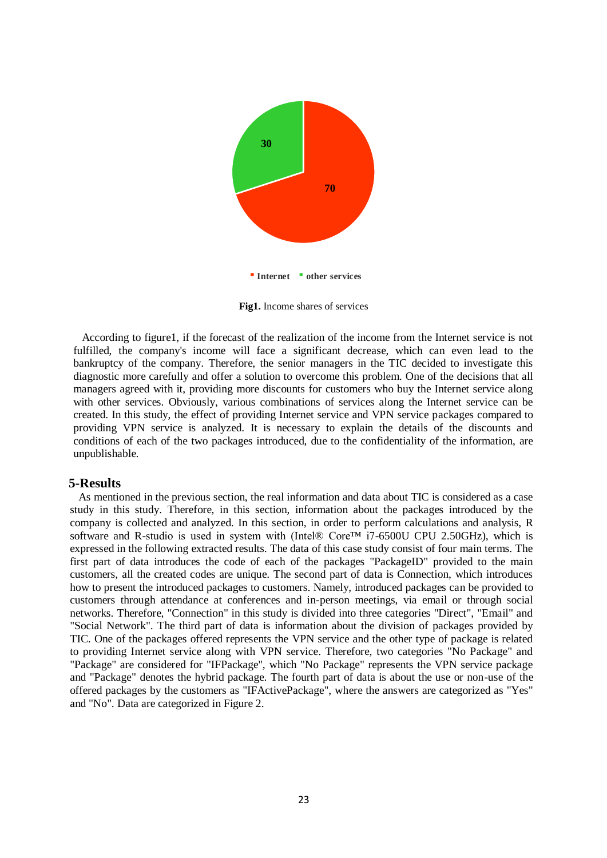

**Fig1.** Income shares of services

 According to figure1, if the forecast of the realization of the income from the Internet service is not fulfilled, the company's income will face a significant decrease, which can even lead to the bankruptcy of the company. Therefore, the senior managers in the TIC decided to investigate this diagnostic more carefully and offer a solution to overcome this problem. One of the decisions that all managers agreed with it, providing more discounts for customers who buy the Internet service along with other services. Obviously, various combinations of services along the Internet service can be created. In this study, the effect of providing Internet service and VPN service packages compared to providing VPN service is analyzed. It is necessary to explain the details of the discounts and conditions of each of the two packages introduced, due to the confidentiality of the information, are unpublishable.

#### **5-Results**

 As mentioned in the previous section, the real information and data about TIC is considered as a case study in this study. Therefore, in this section, information about the packages introduced by the company is collected and analyzed. In this section, in order to perform calculations and analysis, R software and R-studio is used in system with (Intel® Core<sup>TM</sup> i7-6500U CPU 2.50GHz), which is expressed in the following extracted results. The data of this case study consist of four main terms. The first part of data introduces the code of each of the packages "PackageID" provided to the main customers, all the created codes are unique. The second part of data is Connection, which introduces how to present the introduced packages to customers. Namely, introduced packages can be provided to customers through attendance at conferences and in-person meetings, via email or through social networks. Therefore, "Connection" in this study is divided into three categories "Direct", "Email" and "Social Network". The third part of data is information about the division of packages provided by TIC. One of the packages offered represents the VPN service and the other type of package is related to providing Internet service along with VPN service. Therefore, two categories "No Package" and "Package" are considered for "IFPackage", which "No Package" represents the VPN service package and "Package" denotes the hybrid package. The fourth part of data is about the use or non-use of the offered packages by the customers as "IFActivePackage", where the answers are categorized as "Yes" and "No". Data are categorized in Figure 2.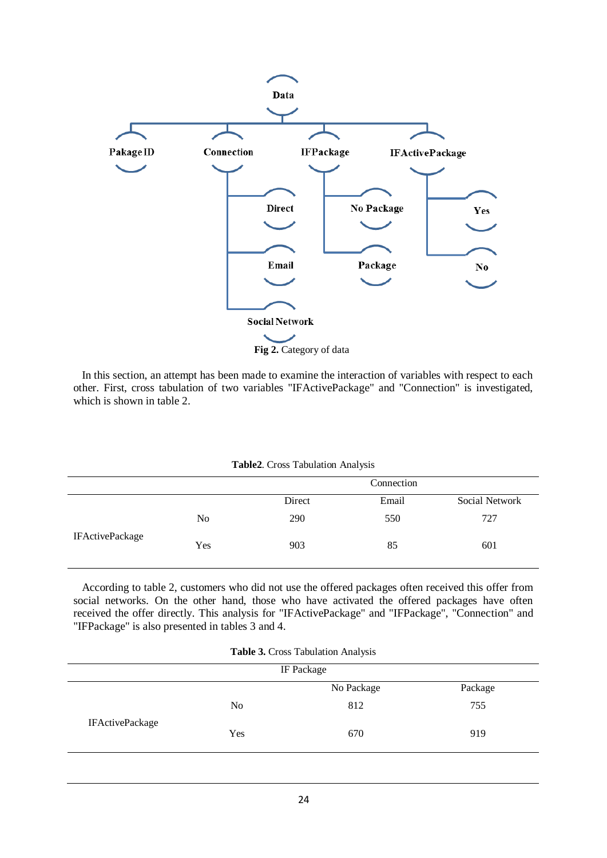

 In this section, an attempt has been made to examine the interaction of variables with respect to each other. First, cross tabulation of two variables "IFActivePackage" and "Connection" is investigated, which is shown in table 2.

**Table2**. Cross Tabulation Analysis

|                        |                |        | Connection |                |
|------------------------|----------------|--------|------------|----------------|
|                        |                | Direct | Email      | Social Network |
| <b>IFActivePackage</b> | N <sub>0</sub> | 290    | 550        | 727            |
|                        | Yes            | 903    | 85         | 601            |

 According to table 2, customers who did not use the offered packages often received this offer from social networks. On the other hand, those who have activated the offered packages have often received the offer directly. This analysis for "IFActivePackage" and "IFPackage", "Connection" and "IFPackage" is also presented in tables 3 and 4.

| Table 3. Cross Tabulation Analysis |  |  |
|------------------------------------|--|--|
|------------------------------------|--|--|

| IF Package             |                |            |         |
|------------------------|----------------|------------|---------|
|                        |                | No Package | Package |
| <b>IFActivePackage</b> | N <sub>o</sub> | 812        | 755     |
|                        | Yes            | 670        | 919     |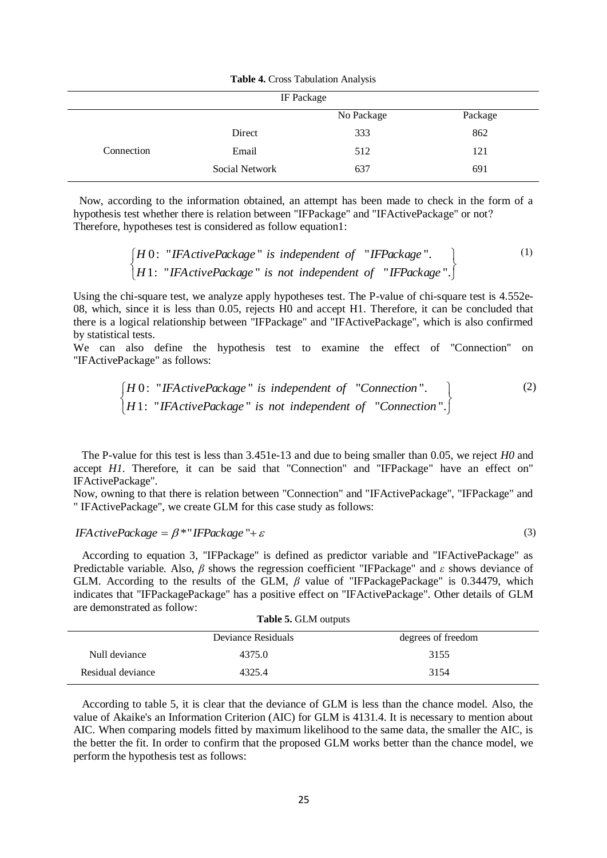|            | IF Package     |            |         |
|------------|----------------|------------|---------|
|            |                | No Package | Package |
|            | Direct         | 333        | 862     |
| Connection | Email          | 512        | 121     |
|            | Social Network | 637        | 691     |

**Table 4.** Cross Tabulation Analysis

 Now, according to the information obtained, an attempt has been made to check in the form of a hypothesis test whether there is relation between "IFPackage" and "IFActivePackage" or not? Therefore, hypotheses test is considered as follow equation1:

$$
\begin{cases}\nH\,0: \text{ "IFActivePackage" is independent of \text{ "IFPackage".}\n\end{cases}
$$
\n
$$
\begin{cases}\nH\,1: \text{ "IFActivePackage" is not independent of \text{ "IFPackage".}\n\end{cases}
$$
\n
$$
\begin{cases}\n1: \text{ "IFActivePackage" is not independent of \text{ "IFPackage".}\n\end{cases}
$$

Using the chi-square test, we analyze apply hypotheses test. The P-value of chi-square test is 4.552e-08, which, since it is less than 0.05, rejects H0 and accept H1. Therefore, it can be concluded that there is a logical relationship between "IFPackage" and "IFActivePackage", which is also confirmed by statistical tests.

We can also define the hypothesis test to examine the effect of "Connection" on "IFActivePackage" as follows:

$$
\begin{cases}\nH \, 0: \text{ "IFA} \, \text{ctive} \, \text{Package} \text{ "is independent of} \text{ "Connection".} \\
H \, 1: \text{ "IFA} \, \text{ctive} \, \text{Package} \text{ "is not independent of} \text{ "Connection".}\n\end{cases}
$$
\n
$$
(2)
$$

(3)

 The P-value for this test is less than 3.451e-13 and due to being smaller than 0.05, we reject *H0* and accept *H1*. Therefore, it can be said that "Connection" and "IFPackage" have an effect on" IFActivePackage".

Now, owning to that there is relation between "Connection" and "IFActivePackage", "IFPackage" and " IFActivePackage", we create GLM for this case study as follows:

*IFA ctivePackage* =  $\beta$ <sup>\*</sup> *IFPackage* "+  $\varepsilon$ 

 According to equation 3, "IFPackage" is defined as predictor variable and "IFActivePackage" as Predictable variable. Also, *β* shows the regression coefficient "IFPackage" and *ε* shows deviance of GLM. According to the results of the GLM, *β* value of "IFPackagePackage" is 0.34479, which indicates that "IFPackagePackage" has a positive effect on "IFActivePackage". Other details of GLM are demonstrated as follow: **Table 5.** GLM outputs

|                   | <b>Table 5. OLIVI OULDULS</b> |                    |
|-------------------|-------------------------------|--------------------|
|                   | Deviance Residuals            | degrees of freedom |
| Null deviance     | 4375.0                        | 3155               |
| Residual deviance | 4325.4                        | 3154               |

 According to table 5, it is clear that the deviance of GLM is less than the chance model. Also, the value of Akaike's an Information Criterion (AIC) for GLM is 4131.4. It is necessary to mention about AIC. When comparing models fitted by maximum likelihood to the same data, the smaller the AIC, is the better the fit. In order to confirm that the proposed GLM works better than the chance model, we perform the hypothesis test as follows: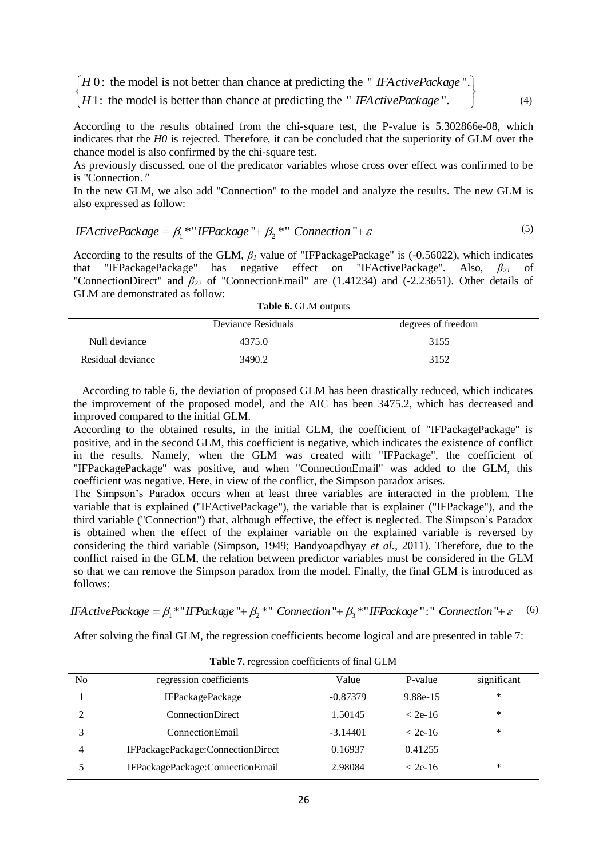$[H 0:$  the model is not better than chance at predicting the "*IFActivePackage* ".<br> $[H 1:$  the model is better than chance at predicting the "*IFActivePackage* ".

*H* 1: the model is better than chance at predicting the " *IFA ctivePackage* ".

According to the results obtained from the chi-square test, the P-value is 5.302866e-08, which indicates that the *H0* is rejected. Therefore, it can be concluded that the superiority of GLM over the chance model is also confirmed by the chi-square test.

(4)

As previously discussed, one of the predicator variables whose cross over effect was confirmed to be is "Connection."

In the new GLM, we also add "Connection" to the model and analyze the results. The new GLM is also expressed as follow:

$$
IFActivePackage = \beta_1 * "IFPackage " + \beta_2 * " Connection " + \varepsilon
$$
\n<sup>(5)</sup>

According to the results of the GLM,  $β<sub>I</sub>$  value of "IFPackagePackage" is (-0.56022), which indicates that "IFPackagePackage" has negative effect on "IFActivePackage". Also, *β<sup>21</sup>* of "ConnectionDirect" and *β<sup>22</sup>* of "ConnectionEmail" are (1.41234) and (-2.23651). Other details of GLM are demonstrated as follow:

**Table 6.** GLM outputs

|                   | Deviance Residuals | degrees of freedom |  |
|-------------------|--------------------|--------------------|--|
| Null deviance     | 4375.0             | 3155               |  |
| Residual deviance | 3490.2             | 3152               |  |

 According to table 6, the deviation of proposed GLM has been drastically reduced, which indicates the improvement of the proposed model, and the AIC has been 3475.2, which has decreased and improved compared to the initial GLM.

According to the obtained results, in the initial GLM, the coefficient of "IFPackagePackage" is positive, and in the second GLM, this coefficient is negative, which indicates the existence of conflict in the results. Namely, when the GLM was created with "IFPackage", the coefficient of "IFPackagePackage" was positive, and when "ConnectionEmail" was added to the GLM, this coefficient was negative. Here, in view of the conflict, the Simpson paradox arises.

The Simpson's Paradox occurs when at least three variables are interacted in the problem. The variable that is explained ("IFActivePackage"), the variable that is explainer ("IFPackage"), and the third variable ("Connection") that, although effective, the effect is neglected. The Simpson's Paradox is obtained when the effect of the explainer variable on the explained variable is reversed by considering the third variable (Simpson, 1949; Bandyoapdhyay *et al.*, 2011). Therefore, due to the conflict raised in the GLM, the relation between predictor variables must be considered in the GLM so that we can remove the Simpson paradox from the model. Finally, the final GLM is introduced as follows:

IFA ctivePackage =  $\beta_1$  \*" IFPackage "+  $\beta_2$  \*" Connection "+  $\beta_3$  \*" IFPackage ":" Connection "+  $\varepsilon$ (6)

After solving the final GLM, the regression coefficients become logical and are presented in table 7:

| N <sub>0</sub> | regression coefficients           | Value      | P-value   | significant |
|----------------|-----------------------------------|------------|-----------|-------------|
|                | <b>IFPackagePackage</b>           | $-0.87379$ | 9.88e-15  | ∗           |
| ↑              | <b>ConnectionDirect</b>           | 1.50145    | $<$ 2e-16 | ∗           |
| 2              | <b>Connection</b> Email           | $-3.14401$ | $<$ 2e-16 | ∗           |
| 4              | IFPackagePackage:ConnectionDirect | 0.16937    | 0.41255   |             |
|                | IFPackagePackage:ConnectionEmail  | 2.98084    | $<$ 2e-16 | *           |
|                |                                   |            |           |             |

**Table 7.** regression coefficients of final GLM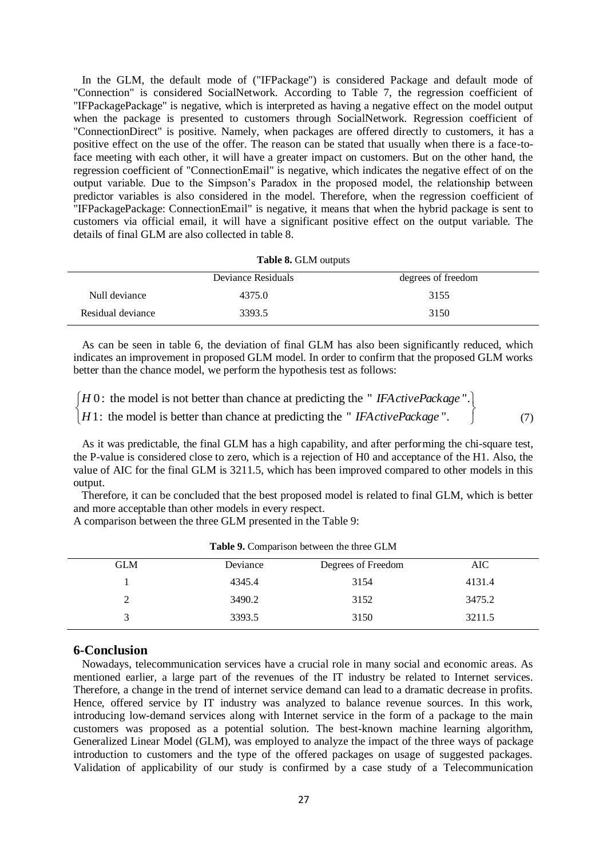In the GLM, the default mode of ("IFPackage") is considered Package and default mode of "Connection" is considered SocialNetwork. According to Table 7, the regression coefficient of "IFPackagePackage" is negative, which is interpreted as having a negative effect on the model output when the package is presented to customers through SocialNetwork. Regression coefficient of "ConnectionDirect" is positive. Namely, when packages are offered directly to customers, it has a positive effect on the use of the offer. The reason can be stated that usually when there is a face-toface meeting with each other, it will have a greater impact on customers. But on the other hand, the regression coefficient of "ConnectionEmail" is negative, which indicates the negative effect of on the output variable. Due to the Simpson's Paradox in the proposed model, the relationship between predictor variables is also considered in the model. Therefore, when the regression coefficient of "IFPackagePackage: ConnectionEmail" is negative, it means that when the hybrid package is sent to customers via official email, it will have a significant positive effect on the output variable. The details of final GLM are also collected in table 8.

#### **Table 8.** GLM outputs

|                   | Deviance Residuals | degrees of freedom |
|-------------------|--------------------|--------------------|
| Null deviance     | 4375.0             | 3155               |
| Residual deviance | 3393.5             | 3150               |

 As can be seen in table 6, the deviation of final GLM has also been significantly reduced, which indicates an improvement in proposed GLM model. In order to confirm that the proposed GLM works better than the chance model, we perform the hypothesis test as follows:

 $[H 0:$  the model is not better than chance at predicting the "*IFActivePackage* ".<br>  $[H 1:$  the model is better than chance at predicting the "*IFActivePackage* ". *H* 0: the model is not better than chance at predicting the "*IFActivePackage*". (7)

 As it was predictable, the final GLM has a high capability, and after performing the chi-square test, the P-value is considered close to zero, which is a rejection of H0 and acceptance of the H1. Also, the value of AIC for the final GLM is 3211.5, which has been improved compared to other models in this output.

 Therefore, it can be concluded that the best proposed model is related to final GLM, which is better and more acceptable than other models in every respect.

A comparison between the three GLM presented in the Table 9:

| <b>GLM</b> | Deviance | Degrees of Freedom | AIC    |  |
|------------|----------|--------------------|--------|--|
|            | 4345.4   | 3154               | 4131.4 |  |
|            | 3490.2   | 3152               | 3475.2 |  |
|            | 3393.5   | 3150               | 3211.5 |  |
|            |          |                    |        |  |

**Table 9.** Comparison between the three GLM

## **6-Conclusion**

Nowadays, telecommunication services have a crucial role in many social and economic areas. As mentioned earlier, a large part of the revenues of the IT industry be related to Internet services. Therefore, a change in the trend of internet service demand can lead to a dramatic decrease in profits. Hence, offered service by IT industry was analyzed to balance revenue sources. In this work, introducing low-demand services along with Internet service in the form of a package to the main customers was proposed as a potential solution. The best-known machine learning algorithm, Generalized Linear Model (GLM), was employed to analyze the impact of the three ways of package introduction to customers and the type of the offered packages on usage of suggested packages. Validation of applicability of our study is confirmed by a case study of a Telecommunication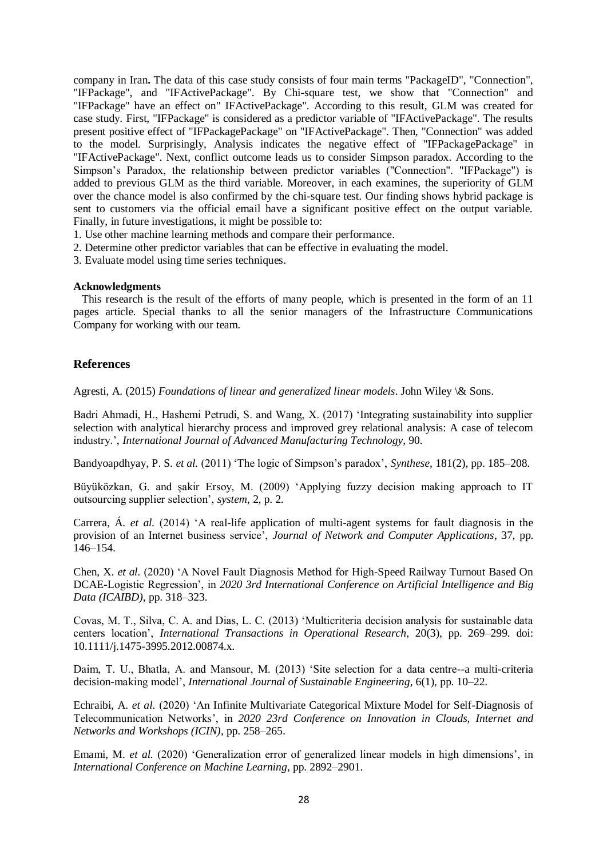company in Iran**.** The data of this case study consists of four main terms "PackageID", "Connection", "IFPackage", and "IFActivePackage". By Chi-square test, we show that "Connection" and "IFPackage" have an effect on" IFActivePackage". According to this result, GLM was created for case study. First, "IFPackage" is considered as a predictor variable of "IFActivePackage". The results present positive effect of "IFPackagePackage" on "IFActivePackage". Then, "Connection" was added to the model. Surprisingly, Analysis indicates the negative effect of "IFPackagePackage" in "IFActivePackage". Next, conflict outcome leads us to consider Simpson paradox. According to the Simpson's Paradox, the relationship between predictor variables ("Connection". "IFPackage") is added to previous GLM as the third variable. Moreover, in each examines, the superiority of GLM over the chance model is also confirmed by the chi-square test. Our finding shows hybrid package is sent to customers via the official email have a significant positive effect on the output variable. Finally, in future investigations, it might be possible to:

- 1. Use other machine learning methods and compare their performance.
- 2. Determine other predictor variables that can be effective in evaluating the model.
- 3. Evaluate model using time series techniques.

#### **Acknowledgments**

 This research is the result of the efforts of many people, which is presented in the form of an 11 pages article. Special thanks to all the senior managers of the Infrastructure Communications Company for working with our team.

## **References**

Agresti, A. (2015) *Foundations of linear and generalized linear models*. John Wiley \& Sons.

Badri Ahmadi, H., Hashemi Petrudi, S. and Wang, X. (2017) 'Integrating sustainability into supplier selection with analytical hierarchy process and improved grey relational analysis: A case of telecom industry.', *International Journal of Advanced Manufacturing Technology*, 90.

Bandyoapdhyay, P. S. *et al.* (2011) 'The logic of Simpson's paradox', *Synthese*, 181(2), pp. 185–208.

Büyüközkan, G. and şakir Ersoy, M. (2009) 'Applying fuzzy decision making approach to IT outsourcing supplier selection', *system*, 2, p. 2.

Carrera, Á. *et al.* (2014) 'A real-life application of multi-agent systems for fault diagnosis in the provision of an Internet business service', *Journal of Network and Computer Applications*, 37, pp. 146–154.

Chen, X. *et al.* (2020) 'A Novel Fault Diagnosis Method for High-Speed Railway Turnout Based On DCAE-Logistic Regression', in *2020 3rd International Conference on Artificial Intelligence and Big Data (ICAIBD)*, pp. 318–323.

Covas, M. T., Silva, C. A. and Dias, L. C. (2013) 'Multicriteria decision analysis for sustainable data centers location', *International Transactions in Operational Research*, 20(3), pp. 269–299. doi: 10.1111/j.1475-3995.2012.00874.x.

Daim, T. U., Bhatla, A. and Mansour, M. (2013) 'Site selection for a data centre--a multi-criteria decision-making model', *International Journal of Sustainable Engineering*, 6(1), pp. 10–22.

Echraibi, A. *et al.* (2020) 'An Infinite Multivariate Categorical Mixture Model for Self-Diagnosis of Telecommunication Networks', in *2020 23rd Conference on Innovation in Clouds, Internet and Networks and Workshops (ICIN)*, pp. 258–265.

Emami, M. *et al.* (2020) 'Generalization error of generalized linear models in high dimensions', in *International Conference on Machine Learning*, pp. 2892–2901.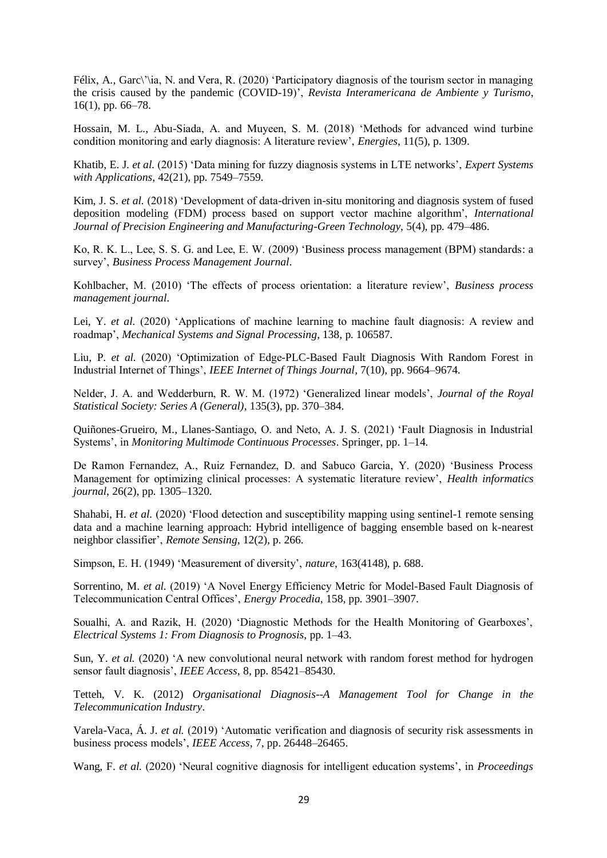Félix, A., Garc\'\ia, N. and Vera, R. (2020) 'Participatory diagnosis of the tourism sector in managing the crisis caused by the pandemic (COVID-19)', *Revista Interamericana de Ambiente y Turismo*, 16(1), pp. 66–78.

Hossain, M. L., Abu-Siada, A. and Muyeen, S. M. (2018) 'Methods for advanced wind turbine condition monitoring and early diagnosis: A literature review', *Energies*, 11(5), p. 1309.

Khatib, E. J. *et al.* (2015) 'Data mining for fuzzy diagnosis systems in LTE networks', *Expert Systems with Applications*, 42(21), pp. 7549–7559.

Kim, J. S. *et al.* (2018) 'Development of data-driven in-situ monitoring and diagnosis system of fused deposition modeling (FDM) process based on support vector machine algorithm', *International Journal of Precision Engineering and Manufacturing-Green Technology*, 5(4), pp. 479–486.

Ko, R. K. L., Lee, S. S. G. and Lee, E. W. (2009) 'Business process management (BPM) standards: a survey', *Business Process Management Journal*.

Kohlbacher, M. (2010) 'The effects of process orientation: a literature review', *Business process management journal*.

Lei, Y. *et al.* (2020) 'Applications of machine learning to machine fault diagnosis: A review and roadmap', *Mechanical Systems and Signal Processing*, 138, p. 106587.

Liu, P. *et al.* (2020) 'Optimization of Edge-PLC-Based Fault Diagnosis With Random Forest in Industrial Internet of Things', *IEEE Internet of Things Journal*, 7(10), pp. 9664–9674.

Nelder, J. A. and Wedderburn, R. W. M. (1972) 'Generalized linear models', *Journal of the Royal Statistical Society: Series A (General)*, 135(3), pp. 370–384.

Quiñones-Grueiro, M., Llanes-Santiago, O. and Neto, A. J. S. (2021) 'Fault Diagnosis in Industrial Systems', in *Monitoring Multimode Continuous Processes*. Springer, pp. 1–14.

De Ramon Fernandez, A., Ruiz Fernandez, D. and Sabuco Garcia, Y. (2020) 'Business Process Management for optimizing clinical processes: A systematic literature review', *Health informatics journal*, 26(2), pp. 1305–1320.

Shahabi, H. *et al.* (2020) 'Flood detection and susceptibility mapping using sentinel-1 remote sensing data and a machine learning approach: Hybrid intelligence of bagging ensemble based on k-nearest neighbor classifier', *Remote Sensing*, 12(2), p. 266.

Simpson, E. H. (1949) 'Measurement of diversity', *nature*, 163(4148), p. 688.

Sorrentino, M. *et al.* (2019) 'A Novel Energy Efficiency Metric for Model-Based Fault Diagnosis of Telecommunication Central Offices', *Energy Procedia*, 158, pp. 3901–3907.

Soualhi, A. and Razik, H. (2020) 'Diagnostic Methods for the Health Monitoring of Gearboxes', *Electrical Systems 1: From Diagnosis to Prognosis*, pp. 1–43.

Sun, Y. *et al.* (2020) 'A new convolutional neural network with random forest method for hydrogen sensor fault diagnosis', *IEEE Access*, 8, pp. 85421–85430.

Tetteh, V. K. (2012) *Organisational Diagnosis--A Management Tool for Change in the Telecommunication Industry*.

Varela-Vaca, Á. J. *et al.* (2019) 'Automatic verification and diagnosis of security risk assessments in business process models', *IEEE Access*, 7, pp. 26448–26465.

Wang, F. *et al.* (2020) 'Neural cognitive diagnosis for intelligent education systems', in *Proceedings*